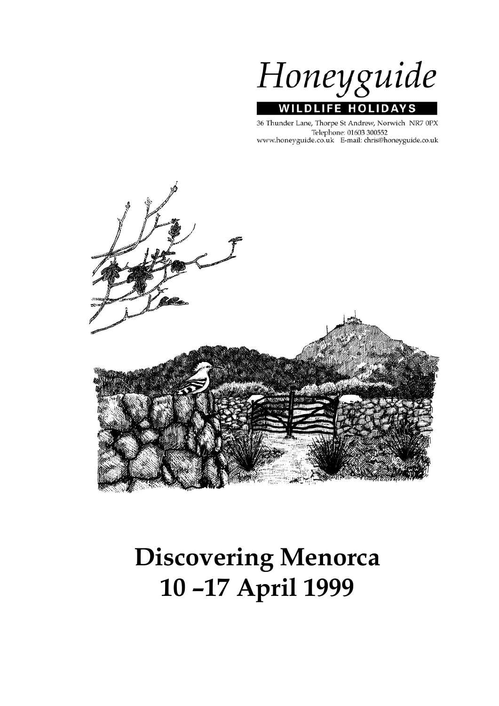Honeyguide **WILDLIFE HOLIDAYS** 

36 Thunder Lane, Thorpe St Andrew, Norwich NR7 0PX Telephone: 01603 300552 www.honeyguide.co.uk E-mail: chris@honeyguide.co.uk



# **Discovering Menorca 10 –17 April 1999**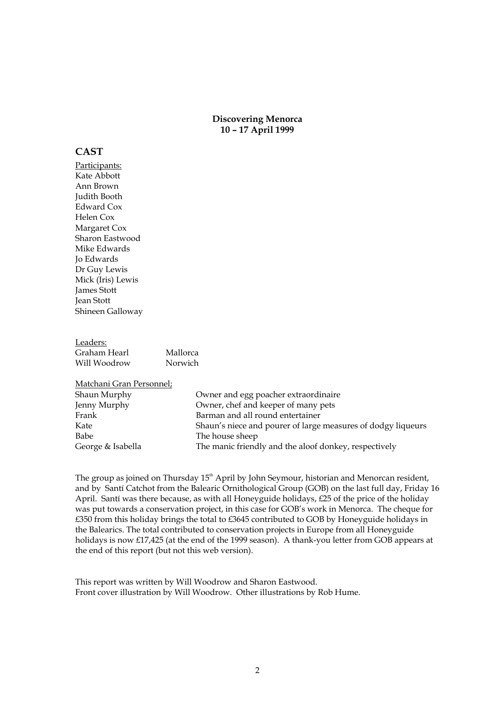#### **Discovering Menorca 10 – 17 April 1999**

#### **CAST**

Participants: Kate Abbott Ann Brown Judith Booth Edward Cox Helen Cox Margaret Cox Sharon Eastwood Mike Edwards Jo Edwards Dr Guy Lewis Mick (Iris) Lewis James Stott Jean Stott Shineen Galloway

Leaders: Graham Hearl Mallorca Will Woodrow Norwich

Matchani Gran Personnel;

| Shaun Murphy      | Owner and egg poacher extraordinaire                         |
|-------------------|--------------------------------------------------------------|
| Jenny Murphy      | Owner, chef and keeper of many pets                          |
| Frank             | Barman and all round entertainer                             |
| Kate              | Shaun's niece and pourer of large measures of dodgy liqueurs |
| Babe              | The house sheep                                              |
| George & Isabella | The manic friendly and the aloof donkey, respectively        |

The group as joined on Thursday 15<sup>th</sup> April by John Seymour, historian and Menorcan resident, and by Santí Catchot from the Balearic Ornithological Group (GOB) on the last full day, Friday 16 April. Santí was there because, as with all Honeyguide holidays, £25 of the price of the holiday was put towards a conservation project, in this case for GOB's work in Menorca. The cheque for £350 from this holiday brings the total to £3645 contributed to GOB by Honeyguide holidays in the Balearics. The total contributed to conservation projects in Europe from all Honeyguide holidays is now £17,425 (at the end of the 1999 season). A thank-you letter from GOB appears at the end of this report (but not this web version).

This report was written by Will Woodrow and Sharon Eastwood. Front cover illustration by Will Woodrow. Other illustrations by Rob Hume.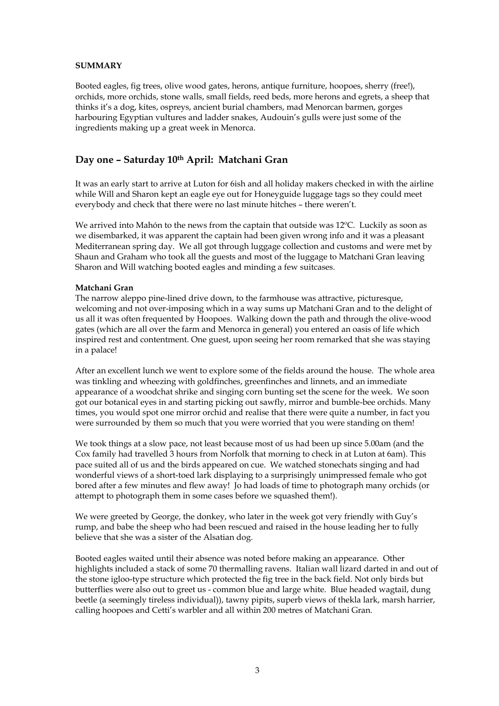#### **SUMMARY**

Booted eagles, fig trees, olive wood gates, herons, antique furniture, hoopoes, sherry (free!), orchids, more orchids, stone walls, small fields, reed beds, more herons and egrets, a sheep that thinks it's a dog, kites, ospreys, ancient burial chambers, mad Menorcan barmen, gorges harbouring Egyptian vultures and ladder snakes, Audouin's gulls were just some of the ingredients making up a great week in Menorca.

# **Day one – Saturday 10th April: Matchani Gran**

It was an early start to arrive at Luton for 6ish and all holiday makers checked in with the airline while Will and Sharon kept an eagle eye out for Honeyguide luggage tags so they could meet everybody and check that there were no last minute hitches – there weren't.

We arrived into Mahón to the news from the captain that outside was  $12^{\circ}$ C. Luckily as soon as we disembarked, it was apparent the captain had been given wrong info and it was a pleasant Mediterranean spring day. We all got through luggage collection and customs and were met by Shaun and Graham who took all the guests and most of the luggage to Matchani Gran leaving Sharon and Will watching booted eagles and minding a few suitcases.

#### **Matchani Gran**

The narrow aleppo pine-lined drive down, to the farmhouse was attractive, picturesque, welcoming and not over-imposing which in a way sums up Matchani Gran and to the delight of us all it was often frequented by Hoopoes. Walking down the path and through the olive-wood gates (which are all over the farm and Menorca in general) you entered an oasis of life which inspired rest and contentment. One guest, upon seeing her room remarked that she was staying in a palace!

After an excellent lunch we went to explore some of the fields around the house. The whole area was tinkling and wheezing with goldfinches, greenfinches and linnets, and an immediate appearance of a woodchat shrike and singing corn bunting set the scene for the week. We soon got our botanical eyes in and starting picking out sawfly, mirror and bumble-bee orchids. Many times, you would spot one mirror orchid and realise that there were quite a number, in fact you were surrounded by them so much that you were worried that you were standing on them!

We took things at a slow pace, not least because most of us had been up since 5.00am (and the Cox family had travelled 3 hours from Norfolk that morning to check in at Luton at 6am). This pace suited all of us and the birds appeared on cue. We watched stonechats singing and had wonderful views of a short-toed lark displaying to a surprisingly unimpressed female who got bored after a few minutes and flew away! Jo had loads of time to photograph many orchids (or attempt to photograph them in some cases before we squashed them!).

We were greeted by George, the donkey, who later in the week got very friendly with Guy's rump, and babe the sheep who had been rescued and raised in the house leading her to fully believe that she was a sister of the Alsatian dog.

Booted eagles waited until their absence was noted before making an appearance. Other highlights included a stack of some 70 thermalling ravens. Italian wall lizard darted in and out of the stone igloo-type structure which protected the fig tree in the back field. Not only birds but butterflies were also out to greet us - common blue and large white. Blue headed wagtail, dung beetle (a seemingly tireless individual)), tawny pipits, superb views of thekla lark, marsh harrier, calling hoopoes and Cetti's warbler and all within 200 metres of Matchani Gran.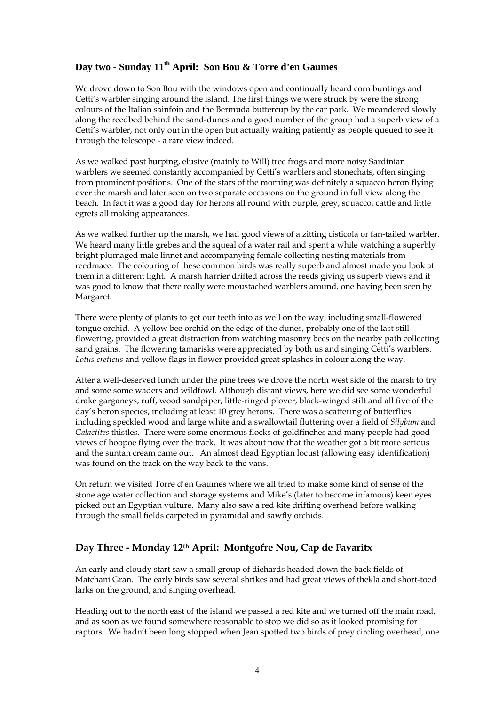## Day two - Sunday 11<sup>th</sup> April: Son Bou & Torre d'en Gaumes

We drove down to Son Bou with the windows open and continually heard corn buntings and Cetti's warbler singing around the island. The first things we were struck by were the strong colours of the Italian sainfoin and the Bermuda buttercup by the car park. We meandered slowly along the reedbed behind the sand-dunes and a good number of the group had a superb view of a Cetti's warbler, not only out in the open but actually waiting patiently as people queued to see it through the telescope - a rare view indeed.

As we walked past burping, elusive (mainly to Will) tree frogs and more noisy Sardinian warblers we seemed constantly accompanied by Cetti's warblers and stonechats, often singing from prominent positions. One of the stars of the morning was definitely a squacco heron flying over the marsh and later seen on two separate occasions on the ground in full view along the beach. In fact it was a good day for herons all round with purple, grey, squacco, cattle and little egrets all making appearances.

As we walked further up the marsh, we had good views of a zitting cisticola or fan-tailed warbler. We heard many little grebes and the squeal of a water rail and spent a while watching a superbly bright plumaged male linnet and accompanying female collecting nesting materials from reedmace. The colouring of these common birds was really superb and almost made you look at them in a different light. A marsh harrier drifted across the reeds giving us superb views and it was good to know that there really were moustached warblers around, one having been seen by Margaret.

There were plenty of plants to get our teeth into as well on the way, including small-flowered tongue orchid. A yellow bee orchid on the edge of the dunes, probably one of the last still flowering, provided a great distraction from watching masonry bees on the nearby path collecting sand grains. The flowering tamarisks were appreciated by both us and singing Cetti's warblers. *Lotus creticus* and yellow flags in flower provided great splashes in colour along the way.

After a well-deserved lunch under the pine trees we drove the north west side of the marsh to try and some some waders and wildfowl. Although distant views, here we did see some wonderful drake garganeys, ruff, wood sandpiper, little-ringed plover, black-winged stilt and all five of the day's heron species, including at least 10 grey herons. There was a scattering of butterflies including speckled wood and large white and a swallowtail fluttering over a field of *Silybum* and *Galactites* thistles. There were some enormous flocks of goldfinches and many people had good views of hoopoe flying over the track. It was about now that the weather got a bit more serious and the suntan cream came out. An almost dead Egyptian locust (allowing easy identification) was found on the track on the way back to the vans.

On return we visited Torre d'en Gaumes where we all tried to make some kind of sense of the stone age water collection and storage systems and Mike's (later to become infamous) keen eyes picked out an Egyptian vulture. Many also saw a red kite drifting overhead before walking through the small fields carpeted in pyramidal and sawfly orchids.

## **Day Three - Monday 12th April: Montgofre Nou, Cap de Favaritx**

An early and cloudy start saw a small group of diehards headed down the back fields of Matchani Gran. The early birds saw several shrikes and had great views of thekla and short-toed larks on the ground, and singing overhead.

Heading out to the north east of the island we passed a red kite and we turned off the main road, and as soon as we found somewhere reasonable to stop we did so as it looked promising for raptors. We hadn't been long stopped when Jean spotted two birds of prey circling overhead, one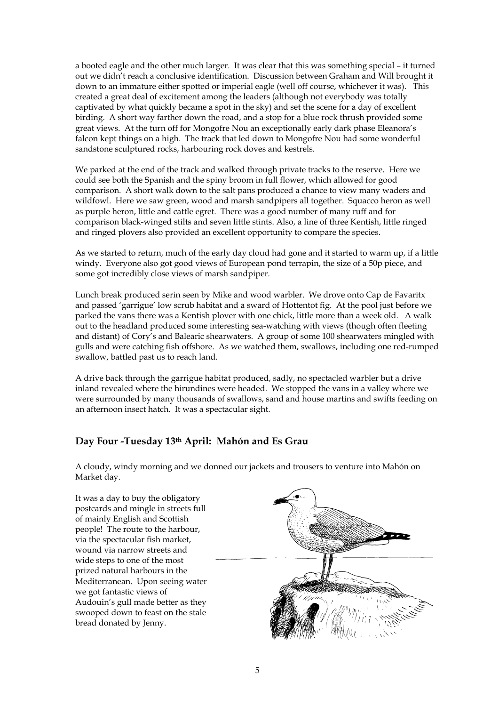a booted eagle and the other much larger. It was clear that this was something special – it turned out we didn't reach a conclusive identification. Discussion between Graham and Will brought it down to an immature either spotted or imperial eagle (well off course, whichever it was). This created a great deal of excitement among the leaders (although not everybody was totally captivated by what quickly became a spot in the sky) and set the scene for a day of excellent birding. A short way farther down the road, and a stop for a blue rock thrush provided some great views. At the turn off for Mongofre Nou an exceptionally early dark phase Eleanora's falcon kept things on a high. The track that led down to Mongofre Nou had some wonderful sandstone sculptured rocks, harbouring rock doves and kestrels.

We parked at the end of the track and walked through private tracks to the reserve. Here we could see both the Spanish and the spiny broom in full flower, which allowed for good comparison. A short walk down to the salt pans produced a chance to view many waders and wildfowl. Here we saw green, wood and marsh sandpipers all together. Squacco heron as well as purple heron, little and cattle egret. There was a good number of many ruff and for comparison black-winged stilts and seven little stints. Also, a line of three Kentish, little ringed and ringed plovers also provided an excellent opportunity to compare the species.

As we started to return, much of the early day cloud had gone and it started to warm up, if a little windy. Everyone also got good views of European pond terrapin, the size of a 50p piece, and some got incredibly close views of marsh sandpiper.

Lunch break produced serin seen by Mike and wood warbler. We drove onto Cap de Favaritx and passed 'garrigue' low scrub habitat and a sward of Hottentot fig. At the pool just before we parked the vans there was a Kentish plover with one chick, little more than a week old. A walk out to the headland produced some interesting sea-watching with views (though often fleeting and distant) of Cory's and Balearic shearwaters. A group of some 100 shearwaters mingled with gulls and were catching fish offshore. As we watched them, swallows, including one red-rumped swallow, battled past us to reach land.

A drive back through the garrigue habitat produced, sadly, no spectacled warbler but a drive inland revealed where the hirundines were headed. We stopped the vans in a valley where we were surrounded by many thousands of swallows, sand and house martins and swifts feeding on an afternoon insect hatch. It was a spectacular sight.

## **Day Four -Tuesday 13th April: Mahón and Es Grau**

A cloudy, windy morning and we donned our jackets and trousers to venture into Mahón on Market day.

It was a day to buy the obligatory postcards and mingle in streets full of mainly English and Scottish people! The route to the harbour, via the spectacular fish market, wound via narrow streets and wide steps to one of the most prized natural harbours in the Mediterranean. Upon seeing water we got fantastic views of Audouin's gull made better as they swooped down to feast on the stale bread donated by Jenny.

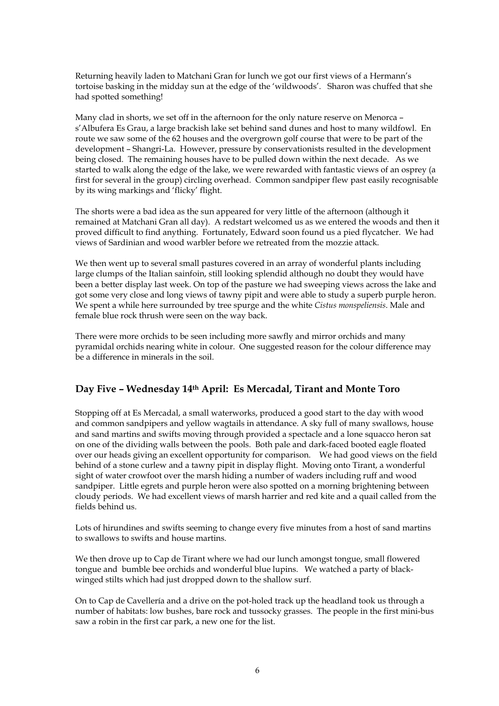Returning heavily laden to Matchani Gran for lunch we got our first views of a Hermann's tortoise basking in the midday sun at the edge of the 'wildwoods'. Sharon was chuffed that she had spotted something!

Many clad in shorts, we set off in the afternoon for the only nature reserve on Menorca – s'Albufera Es Grau, a large brackish lake set behind sand dunes and host to many wildfowl. En route we saw some of the 62 houses and the overgrown golf course that were to be part of the development – Shangri-La. However, pressure by conservationists resulted in the development being closed. The remaining houses have to be pulled down within the next decade. As we started to walk along the edge of the lake, we were rewarded with fantastic views of an osprey (a first for several in the group) circling overhead. Common sandpiper flew past easily recognisable by its wing markings and 'flicky' flight.

The shorts were a bad idea as the sun appeared for very little of the afternoon (although it remained at Matchani Gran all day). A redstart welcomed us as we entered the woods and then it proved difficult to find anything. Fortunately, Edward soon found us a pied flycatcher. We had views of Sardinian and wood warbler before we retreated from the mozzie attack.

We then went up to several small pastures covered in an array of wonderful plants including large clumps of the Italian sainfoin, still looking splendid although no doubt they would have been a better display last week. On top of the pasture we had sweeping views across the lake and got some very close and long views of tawny pipit and were able to study a superb purple heron. We spent a while here surrounded by tree spurge and the white *Cistus monspeliensis*. Male and female blue rock thrush were seen on the way back.

There were more orchids to be seen including more sawfly and mirror orchids and many pyramidal orchids nearing white in colour. One suggested reason for the colour difference may be a difference in minerals in the soil.

## **Day Five – Wednesday 14th April: Es Mercadal, Tirant and Monte Toro**

Stopping off at Es Mercadal, a small waterworks, produced a good start to the day with wood and common sandpipers and yellow wagtails in attendance. A sky full of many swallows, house and sand martins and swifts moving through provided a spectacle and a lone squacco heron sat on one of the dividing walls between the pools. Both pale and dark-faced booted eagle floated over our heads giving an excellent opportunity for comparison. We had good views on the field behind of a stone curlew and a tawny pipit in display flight. Moving onto Tirant, a wonderful sight of water crowfoot over the marsh hiding a number of waders including ruff and wood sandpiper. Little egrets and purple heron were also spotted on a morning brightening between cloudy periods. We had excellent views of marsh harrier and red kite and a quail called from the fields behind us.

Lots of hirundines and swifts seeming to change every five minutes from a host of sand martins to swallows to swifts and house martins.

We then drove up to Cap de Tirant where we had our lunch amongst tongue, small flowered tongue and bumble bee orchids and wonderful blue lupins. We watched a party of blackwinged stilts which had just dropped down to the shallow surf.

On to Cap de Cavellería and a drive on the pot-holed track up the headland took us through a number of habitats: low bushes, bare rock and tussocky grasses. The people in the first mini-bus saw a robin in the first car park, a new one for the list.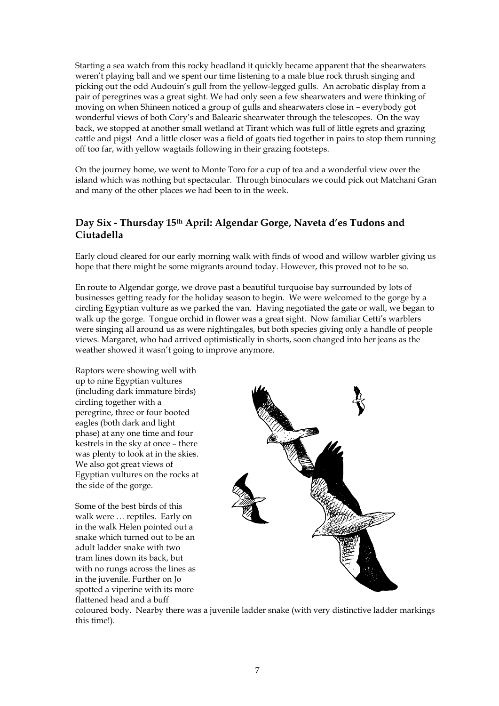Starting a sea watch from this rocky headland it quickly became apparent that the shearwaters weren't playing ball and we spent our time listening to a male blue rock thrush singing and picking out the odd Audouin's gull from the yellow-legged gulls. An acrobatic display from a pair of peregrines was a great sight. We had only seen a few shearwaters and were thinking of moving on when Shineen noticed a group of gulls and shearwaters close in – everybody got wonderful views of both Cory's and Balearic shearwater through the telescopes. On the way back, we stopped at another small wetland at Tirant which was full of little egrets and grazing cattle and pigs! And a little closer was a field of goats tied together in pairs to stop them running off too far, with yellow wagtails following in their grazing footsteps.

On the journey home, we went to Monte Toro for a cup of tea and a wonderful view over the island which was nothing but spectacular. Through binoculars we could pick out Matchani Gran and many of the other places we had been to in the week.

#### **Day Six - Thursday 15th April: Algendar Gorge, Naveta d'es Tudons and Ciutadella**

Early cloud cleared for our early morning walk with finds of wood and willow warbler giving us hope that there might be some migrants around today. However, this proved not to be so.

En route to Algendar gorge, we drove past a beautiful turquoise bay surrounded by lots of businesses getting ready for the holiday season to begin. We were welcomed to the gorge by a circling Egyptian vulture as we parked the van. Having negotiated the gate or wall, we began to walk up the gorge. Tongue orchid in flower was a great sight. Now familiar Cetti's warblers were singing all around us as were nightingales, but both species giving only a handle of people views. Margaret, who had arrived optimistically in shorts, soon changed into her jeans as the weather showed it wasn't going to improve anymore.

Raptors were showing well with up to nine Egyptian vultures (including dark immature birds) circling together with a peregrine, three or four booted eagles (both dark and light phase) at any one time and four kestrels in the sky at once – there was plenty to look at in the skies. We also got great views of Egyptian vultures on the rocks at the side of the gorge.

Some of the best birds of this walk were … reptiles. Early on in the walk Helen pointed out a snake which turned out to be an adult ladder snake with two tram lines down its back, but with no rungs across the lines as in the juvenile. Further on Jo spotted a viperine with its more flattened head and a buff



coloured body. Nearby there was a juvenile ladder snake (with very distinctive ladder markings this time!).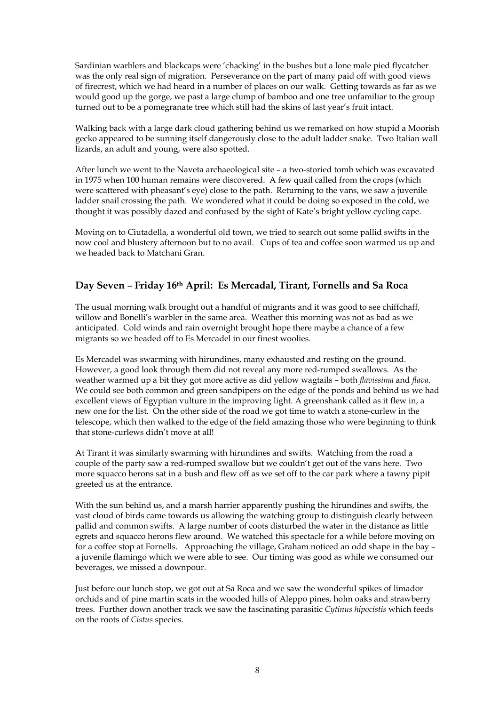Sardinian warblers and blackcaps were 'chacking' in the bushes but a lone male pied flycatcher was the only real sign of migration. Perseverance on the part of many paid off with good views of firecrest, which we had heard in a number of places on our walk. Getting towards as far as we would good up the gorge, we past a large clump of bamboo and one tree unfamiliar to the group turned out to be a pomegranate tree which still had the skins of last year's fruit intact.

Walking back with a large dark cloud gathering behind us we remarked on how stupid a Moorish gecko appeared to be sunning itself dangerously close to the adult ladder snake. Two Italian wall lizards, an adult and young, were also spotted.

After lunch we went to the Naveta archaeological site – a two-storied tomb which was excavated in 1975 when 100 human remains were discovered. A few quail called from the crops (which were scattered with pheasant's eye) close to the path. Returning to the vans, we saw a juvenile ladder snail crossing the path. We wondered what it could be doing so exposed in the cold, we thought it was possibly dazed and confused by the sight of Kate's bright yellow cycling cape.

Moving on to Ciutadella, a wonderful old town, we tried to search out some pallid swifts in the now cool and blustery afternoon but to no avail. Cups of tea and coffee soon warmed us up and we headed back to Matchani Gran.

#### **Day Seven** – **Friday 16th April: Es Mercadal, Tirant, Fornells and Sa Roca**

The usual morning walk brought out a handful of migrants and it was good to see chiffchaff, willow and Bonelli's warbler in the same area. Weather this morning was not as bad as we anticipated. Cold winds and rain overnight brought hope there maybe a chance of a few migrants so we headed off to Es Mercadel in our finest woolies.

Es Mercadel was swarming with hirundines, many exhausted and resting on the ground. However, a good look through them did not reveal any more red-rumped swallows. As the weather warmed up a bit they got more active as did yellow wagtails – both *flavissima* and *flava*. We could see both common and green sandpipers on the edge of the ponds and behind us we had excellent views of Egyptian vulture in the improving light. A greenshank called as it flew in, a new one for the list. On the other side of the road we got time to watch a stone-curlew in the telescope, which then walked to the edge of the field amazing those who were beginning to think that stone-curlews didn't move at all!

At Tirant it was similarly swarming with hirundines and swifts. Watching from the road a couple of the party saw a red-rumped swallow but we couldn't get out of the vans here. Two more squacco herons sat in a bush and flew off as we set off to the car park where a tawny pipit greeted us at the entrance.

With the sun behind us, and a marsh harrier apparently pushing the hirundines and swifts, the vast cloud of birds came towards us allowing the watching group to distinguish clearly between pallid and common swifts. A large number of coots disturbed the water in the distance as little egrets and squacco herons flew around. We watched this spectacle for a while before moving on for a coffee stop at Fornells. Approaching the village, Graham noticed an odd shape in the bay – a juvenile flamingo which we were able to see. Our timing was good as while we consumed our beverages, we missed a downpour.

Just before our lunch stop, we got out at Sa Roca and we saw the wonderful spikes of limador orchids and of pine martin scats in the wooded hills of Aleppo pines, holm oaks and strawberry trees. Further down another track we saw the fascinating parasitic *Cytinus hipocistis* which feeds on the roots of *Cistus* species.